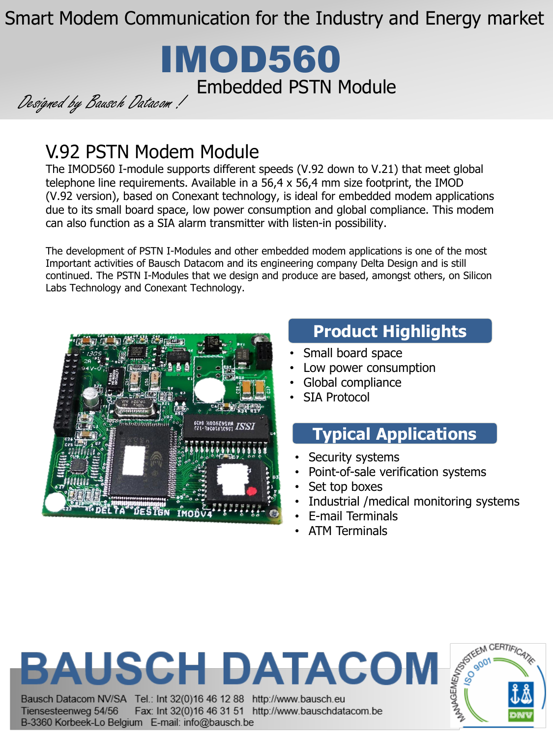Smart Modem Communication for the Industry and Energy market



Designed by Bausch Datacom !

# V.92 PSTN Modem Module

The IMOD560 I-module supports different speeds (V.92 down to V.21) that meet global telephone line requirements. Available in a 56,4 x 56,4 mm size footprint, the IMOD (V.92 version), based on Conexant technology, is ideal for embedded modem applications due to its small board space, low power consumption and global compliance. This modem can also function as a SIA alarm transmitter with listen-in possibility.

The development of PSTN I-Modules and other embedded modem applications is one of the most Important activities of Bausch Datacom and its engineering company Delta Design and is still continued. The PSTN I-Modules that we design and produce are based, amongst others, on Silicon Labs Technology and Conexant Technology.



# **Product Highlights**

- Small board space
- Low power consumption
- Global compliance
- SIA Protocol

## **Typical Applications**

- Security systems
- Point-of-sale verification systems
- Set top boxes
- Industrial /medical monitoring systems
- E-mail Terminals
- ATM Terminals